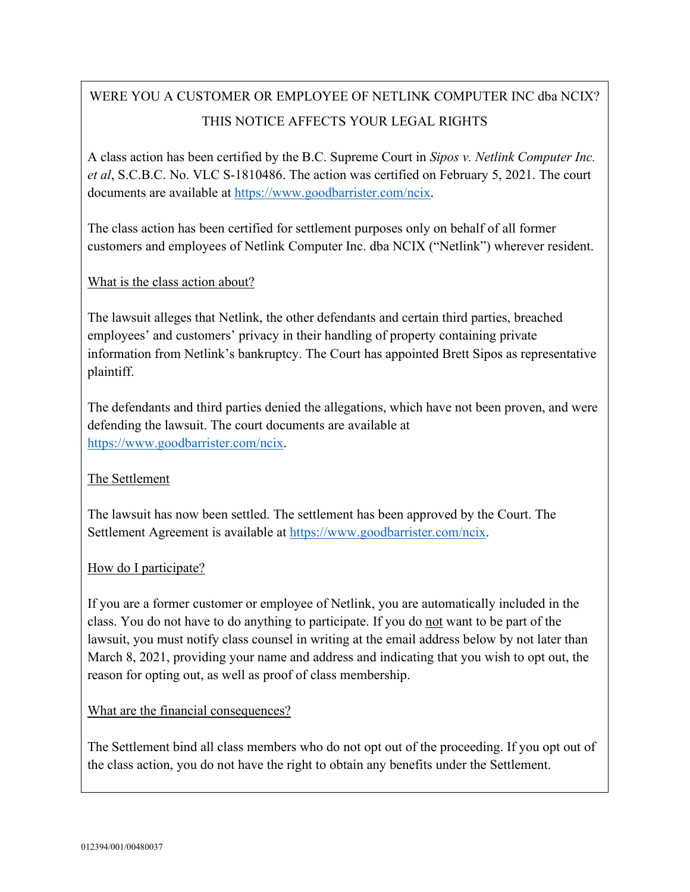# WERE YOU A CUSTOMER OR EMPLOYEE OF NETLINK COMPUTER INC dba NCIX? THIS NOTICE AFFECTS YOUR LEGAL RIGHTS

A class action has been certified by the B.C. Supreme Court in *Sipos v. Netlink Computer Inc. et al*, S.C.B.C. No. VLC S-1810486. The action was certified on February 5, 2021. The court documents are available at [https://www.goodbarrister.com/ncix.](https://www.goodbarrister.com/ncix)

The class action has been certified for settlement purposes only on behalf of all former customers and employees of Netlink Computer Inc. dba NCIX ("Netlink") wherever resident.

## What is the class action about?

The lawsuit alleges that Netlink, the other defendants and certain third parties, breached employees' and customers' privacy in their handling of property containing private information from Netlink's bankruptcy. The Court has appointed Brett Sipos as representative plaintiff.

The defendants and third parties denied the allegations, which have not been proven, and were defending the lawsuit. The court documents are available at [https://www.goodbarrister.com/ncix.](https://www.goodbarrister.com/ncix)

## The Settlement

The lawsuit has now been settled. The settlement has been approved by the Court. The Settlement Agreement is available at [https://www.goodbarrister.com/ncix.](https://www.goodbarrister.com/ncix)

### How do I participate?

If you are a former customer or employee of Netlink, you are automatically included in the class. You do not have to do anything to participate. If you do not want to be part of the lawsuit, you must notify class counsel in writing at the email address below by not later than March 8, 2021, providing your name and address and indicating that you wish to opt out, the reason for opting out, as well as proof of class membership.

### What are the financial consequences?

The Settlement bind all class members who do not opt out of the proceeding. If you opt out of the class action, you do not have the right to obtain any benefits under the Settlement.